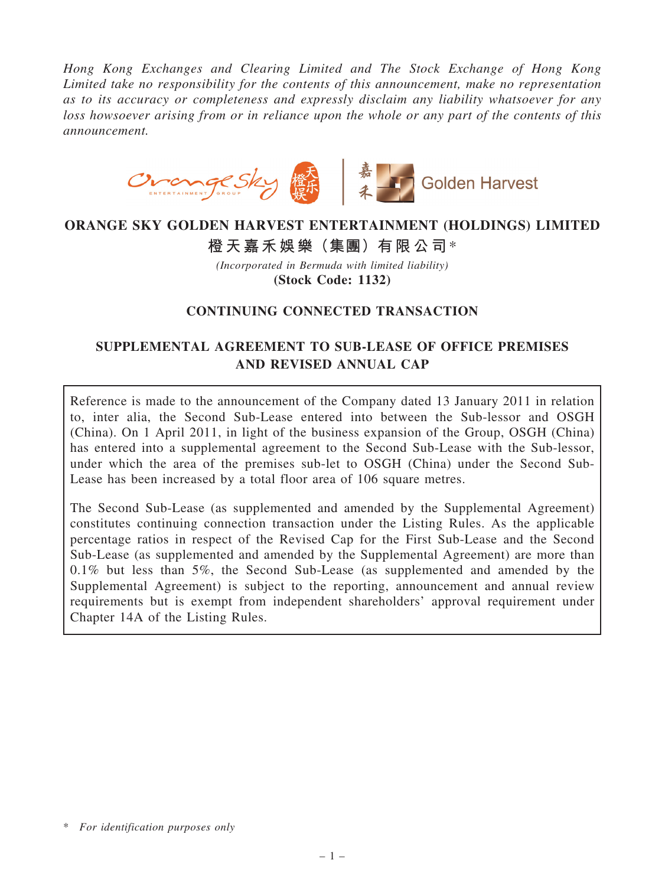Hong Kong Exchanges and Clearing Limited and The Stock Exchange of Hong Kong Limited take no responsibility for the contents of this announcement, make no representation as to its accuracy or completeness and expressly disclaim any liability whatsoever for any loss howsoever arising from or in reliance upon the whole or any part of the contents of this announcement.



### ORANGE SKY GOLDEN HARVEST ENTERTAINMENT (HOLDINGS) LIMITED

# 橙天嘉禾娛樂(集團)有限公司\*

(Incorporated in Bermuda with limited liability) (Stock Code: 1132)

#### CONTINUING CONNECTED TRANSACTION

# SUPPLEMENTAL AGREEMENT TO SUB-LEASE OF OFFICE PREMISES AND REVISED ANNUAL CAP

Reference is made to the announcement of the Company dated 13 January 2011 in relation to, inter alia, the Second Sub-Lease entered into between the Sub-lessor and OSGH (China). On 1 April 2011, in light of the business expansion of the Group, OSGH (China) has entered into a supplemental agreement to the Second Sub-Lease with the Sub-lessor, under which the area of the premises sub-let to OSGH (China) under the Second Sub-Lease has been increased by a total floor area of 106 square metres.

The Second Sub-Lease (as supplemented and amended by the Supplemental Agreement) constitutes continuing connection transaction under the Listing Rules. As the applicable percentage ratios in respect of the Revised Cap for the First Sub-Lease and the Second Sub-Lease (as supplemented and amended by the Supplemental Agreement) are more than 0.1% but less than 5%, the Second Sub-Lease (as supplemented and amended by the Supplemental Agreement) is subject to the reporting, announcement and annual review requirements but is exempt from independent shareholders' approval requirement under Chapter 14A of the Listing Rules.

<sup>\*</sup> For identification purposes only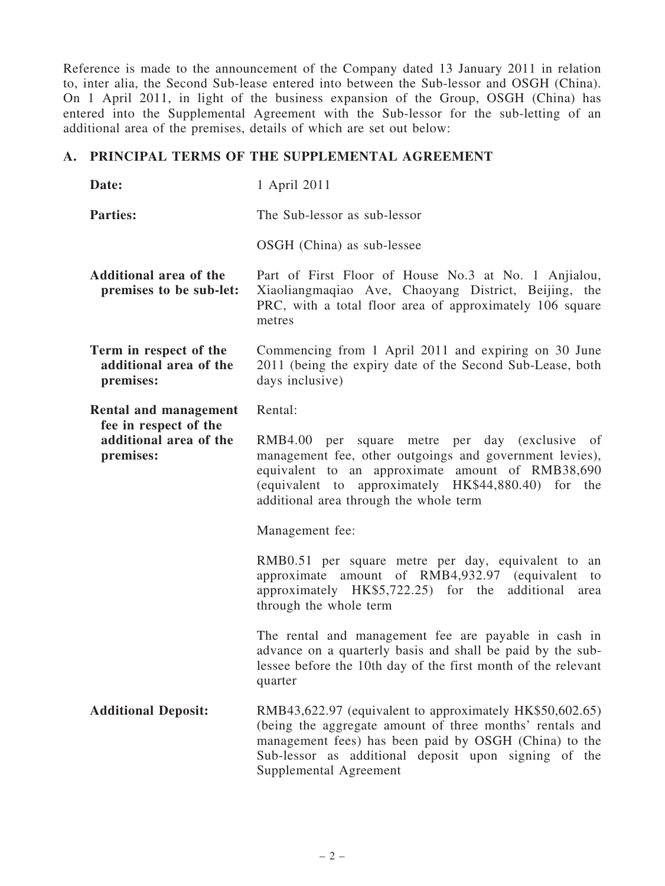Reference is made to the announcement of the Company dated 13 January 2011 in relation to, inter alia, the Second Sub-lease entered into between the Sub-lessor and OSGH (China). On 1 April 2011, in light of the business expansion of the Group, OSGH (China) has entered into the Supplemental Agreement with the Sub-lessor for the sub-letting of an additional area of the premises, details of which are set out below:

#### A. PRINCIPAL TERMS OF THE SUPPLEMENTAL AGREEMENT

| Date:                                                                                 | 1 April 2011                                                                                                                                                                                                                                                    |
|---------------------------------------------------------------------------------------|-----------------------------------------------------------------------------------------------------------------------------------------------------------------------------------------------------------------------------------------------------------------|
| <b>Parties:</b>                                                                       | The Sub-lessor as sub-lessor                                                                                                                                                                                                                                    |
|                                                                                       | OSGH (China) as sub-lessee                                                                                                                                                                                                                                      |
| Additional area of the<br>premises to be sub-let:                                     | Part of First Floor of House No.3 at No. 1 Anjialou,<br>Xiaoliangmaqiao Ave, Chaoyang District, Beijing, the<br>PRC, with a total floor area of approximately 106 square<br>metres                                                                              |
| Term in respect of the<br>additional area of the<br>premises:                         | Commencing from 1 April 2011 and expiring on 30 June<br>2011 (being the expiry date of the Second Sub-Lease, both<br>days inclusive)                                                                                                                            |
| Rental and management<br>fee in respect of the<br>additional area of the<br>premises: | Rental:                                                                                                                                                                                                                                                         |
|                                                                                       | RMB4.00 per square metre per day (exclusive of<br>management fee, other outgoings and government levies),<br>equivalent to an approximate amount of RMB38,690<br>(equivalent to approximately HK\$44,880.40) for the<br>additional area through the whole term  |
|                                                                                       | Management fee:                                                                                                                                                                                                                                                 |
|                                                                                       | RMB0.51 per square metre per day, equivalent to an<br>approximate amount of RMB4,932.97 (equivalent<br>to<br>approximately $HK$5,722.25$ for the<br>additional<br>area<br>through the whole term                                                                |
|                                                                                       | The rental and management fee are payable in cash in<br>advance on a quarterly basis and shall be paid by the sub-<br>lessee before the 10th day of the first month of the relevant<br>quarter                                                                  |
| <b>Additional Deposit:</b>                                                            | RMB43,622.97 (equivalent to approximately HK\$50,602.65)<br>(being the aggregate amount of three months' rentals and<br>management fees) has been paid by OSGH (China) to the<br>Sub-lessor as additional deposit upon signing of the<br>Supplemental Agreement |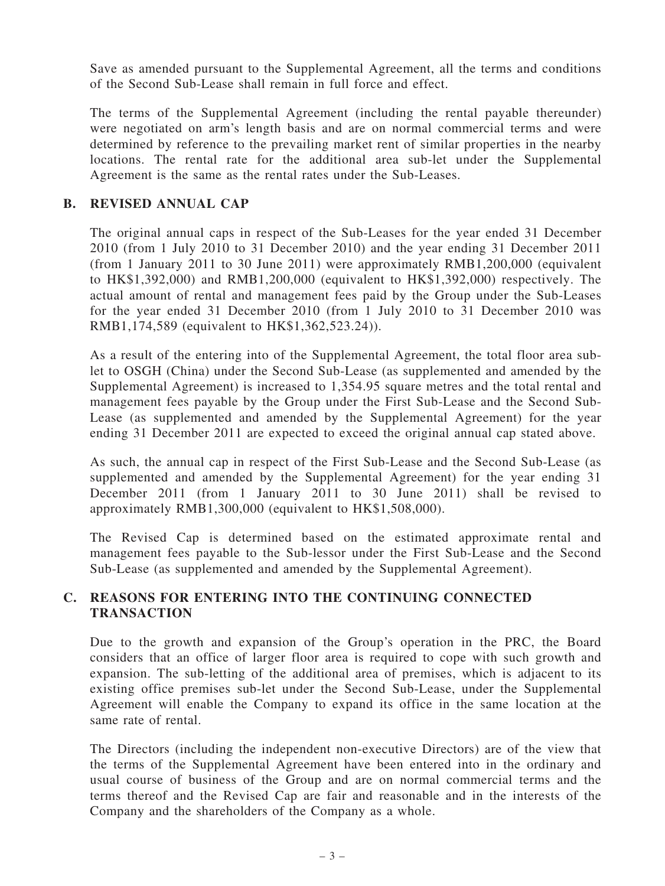Save as amended pursuant to the Supplemental Agreement, all the terms and conditions of the Second Sub-Lease shall remain in full force and effect.

The terms of the Supplemental Agreement (including the rental payable thereunder) were negotiated on arm's length basis and are on normal commercial terms and were determined by reference to the prevailing market rent of similar properties in the nearby locations. The rental rate for the additional area sub-let under the Supplemental Agreement is the same as the rental rates under the Sub-Leases.

#### B. REVISED ANNUAL CAP

The original annual caps in respect of the Sub-Leases for the year ended 31 December 2010 (from 1 July 2010 to 31 December 2010) and the year ending 31 December 2011 (from 1 January 2011 to 30 June 2011) were approximately RMB1,200,000 (equivalent to HK\$1,392,000) and RMB1,200,000 (equivalent to HK\$1,392,000) respectively. The actual amount of rental and management fees paid by the Group under the Sub-Leases for the year ended 31 December 2010 (from 1 July 2010 to 31 December 2010 was RMB1,174,589 (equivalent to HK\$1,362,523.24)).

As a result of the entering into of the Supplemental Agreement, the total floor area sublet to OSGH (China) under the Second Sub-Lease (as supplemented and amended by the Supplemental Agreement) is increased to 1,354.95 square metres and the total rental and management fees payable by the Group under the First Sub-Lease and the Second Sub-Lease (as supplemented and amended by the Supplemental Agreement) for the year ending 31 December 2011 are expected to exceed the original annual cap stated above.

As such, the annual cap in respect of the First Sub-Lease and the Second Sub-Lease (as supplemented and amended by the Supplemental Agreement) for the year ending 31 December 2011 (from 1 January 2011 to 30 June 2011) shall be revised to approximately RMB1,300,000 (equivalent to HK\$1,508,000).

The Revised Cap is determined based on the estimated approximate rental and management fees payable to the Sub-lessor under the First Sub-Lease and the Second Sub-Lease (as supplemented and amended by the Supplemental Agreement).

#### C. REASONS FOR ENTERING INTO THE CONTINUING CONNECTED **TRANSACTION**

Due to the growth and expansion of the Group's operation in the PRC, the Board considers that an office of larger floor area is required to cope with such growth and expansion. The sub-letting of the additional area of premises, which is adjacent to its existing office premises sub-let under the Second Sub-Lease, under the Supplemental Agreement will enable the Company to expand its office in the same location at the same rate of rental.

The Directors (including the independent non-executive Directors) are of the view that the terms of the Supplemental Agreement have been entered into in the ordinary and usual course of business of the Group and are on normal commercial terms and the terms thereof and the Revised Cap are fair and reasonable and in the interests of the Company and the shareholders of the Company as a whole.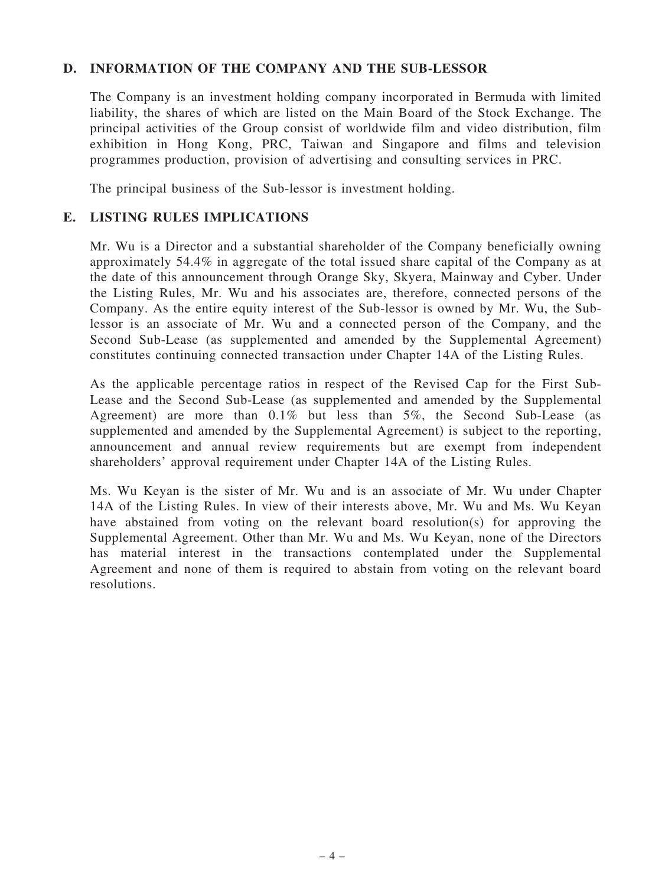#### D. INFORMATION OF THE COMPANY AND THE SUB-LESSOR

The Company is an investment holding company incorporated in Bermuda with limited liability, the shares of which are listed on the Main Board of the Stock Exchange. The principal activities of the Group consist of worldwide film and video distribution, film exhibition in Hong Kong, PRC, Taiwan and Singapore and films and television programmes production, provision of advertising and consulting services in PRC.

The principal business of the Sub-lessor is investment holding.

#### E. LISTING RULES IMPLICATIONS

Mr. Wu is a Director and a substantial shareholder of the Company beneficially owning approximately 54.4% in aggregate of the total issued share capital of the Company as at the date of this announcement through Orange Sky, Skyera, Mainway and Cyber. Under the Listing Rules, Mr. Wu and his associates are, therefore, connected persons of the Company. As the entire equity interest of the Sub-lessor is owned by Mr. Wu, the Sublessor is an associate of Mr. Wu and a connected person of the Company, and the Second Sub-Lease (as supplemented and amended by the Supplemental Agreement) constitutes continuing connected transaction under Chapter 14A of the Listing Rules.

As the applicable percentage ratios in respect of the Revised Cap for the First Sub-Lease and the Second Sub-Lease (as supplemented and amended by the Supplemental Agreement) are more than 0.1% but less than 5%, the Second Sub-Lease (as supplemented and amended by the Supplemental Agreement) is subject to the reporting, announcement and annual review requirements but are exempt from independent shareholders' approval requirement under Chapter 14A of the Listing Rules.

Ms. Wu Keyan is the sister of Mr. Wu and is an associate of Mr. Wu under Chapter 14A of the Listing Rules. In view of their interests above, Mr. Wu and Ms. Wu Keyan have abstained from voting on the relevant board resolution(s) for approving the Supplemental Agreement. Other than Mr. Wu and Ms. Wu Keyan, none of the Directors has material interest in the transactions contemplated under the Supplemental Agreement and none of them is required to abstain from voting on the relevant board resolutions.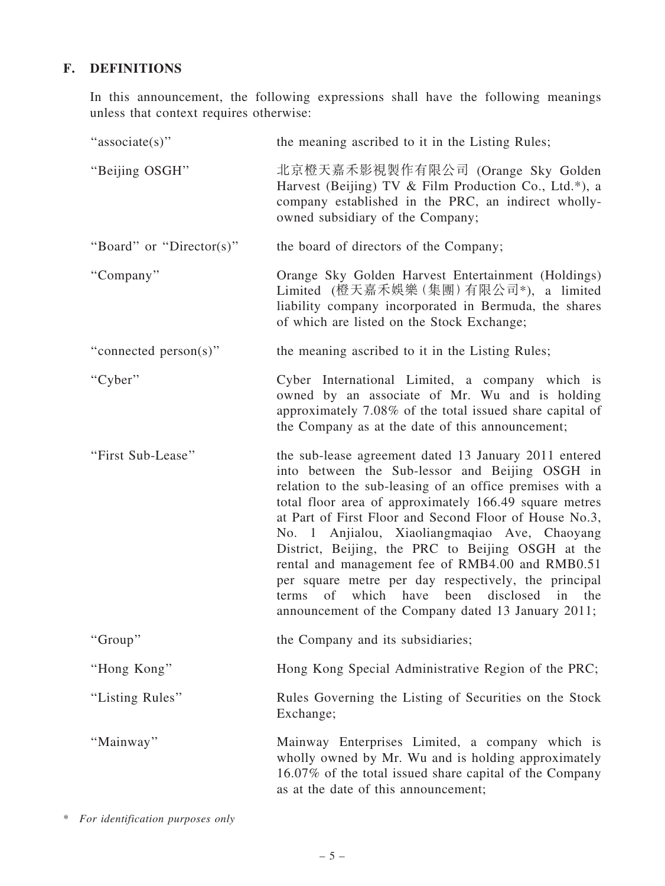## F. DEFINITIONS

In this announcement, the following expressions shall have the following meanings unless that context requires otherwise:

| "associate(s)"           | the meaning ascribed to it in the Listing Rules;                                                                                                                                                                                                                                                                                                                                                                                                                                                                                                                                                              |
|--------------------------|---------------------------------------------------------------------------------------------------------------------------------------------------------------------------------------------------------------------------------------------------------------------------------------------------------------------------------------------------------------------------------------------------------------------------------------------------------------------------------------------------------------------------------------------------------------------------------------------------------------|
| "Beijing OSGH"           | 北京橙天嘉禾影視製作有限公司 (Orange Sky Golden<br>Harvest (Beijing) TV & Film Production Co., Ltd.*), a<br>company established in the PRC, an indirect wholly-<br>owned subsidiary of the Company;                                                                                                                                                                                                                                                                                                                                                                                                                         |
| "Board" or "Director(s)" | the board of directors of the Company;                                                                                                                                                                                                                                                                                                                                                                                                                                                                                                                                                                        |
| "Company"                | Orange Sky Golden Harvest Entertainment (Holdings)<br>Limited (橙天嘉禾娛樂 (集團) 有限公司*), a limited<br>liability company incorporated in Bermuda, the shares<br>of which are listed on the Stock Exchange;                                                                                                                                                                                                                                                                                                                                                                                                           |
| "connected person(s)"    | the meaning ascribed to it in the Listing Rules;                                                                                                                                                                                                                                                                                                                                                                                                                                                                                                                                                              |
| "Cyber"                  | Cyber International Limited, a company which is<br>owned by an associate of Mr. Wu and is holding<br>approximately 7.08% of the total issued share capital of<br>the Company as at the date of this announcement;                                                                                                                                                                                                                                                                                                                                                                                             |
| "First Sub-Lease"        | the sub-lease agreement dated 13 January 2011 entered<br>into between the Sub-lessor and Beijing OSGH in<br>relation to the sub-leasing of an office premises with a<br>total floor area of approximately 166.49 square metres<br>at Part of First Floor and Second Floor of House No.3,<br>No. 1 Anjialou, Xiaoliangmaqiao Ave, Chaoyang<br>District, Beijing, the PRC to Beijing OSGH at the<br>rental and management fee of RMB4.00 and RMB0.51<br>per square metre per day respectively, the principal<br>terms of which have been disclosed in the<br>announcement of the Company dated 13 January 2011; |
| "Group"                  | the Company and its subsidiaries;                                                                                                                                                                                                                                                                                                                                                                                                                                                                                                                                                                             |
| "Hong Kong"              | Hong Kong Special Administrative Region of the PRC;                                                                                                                                                                                                                                                                                                                                                                                                                                                                                                                                                           |
| "Listing Rules"          | Rules Governing the Listing of Securities on the Stock<br>Exchange;                                                                                                                                                                                                                                                                                                                                                                                                                                                                                                                                           |
| "Mainway"                | Mainway Enterprises Limited, a company which is<br>wholly owned by Mr. Wu and is holding approximately<br>16.07% of the total issued share capital of the Company<br>as at the date of this announcement;                                                                                                                                                                                                                                                                                                                                                                                                     |

\* For identification purposes only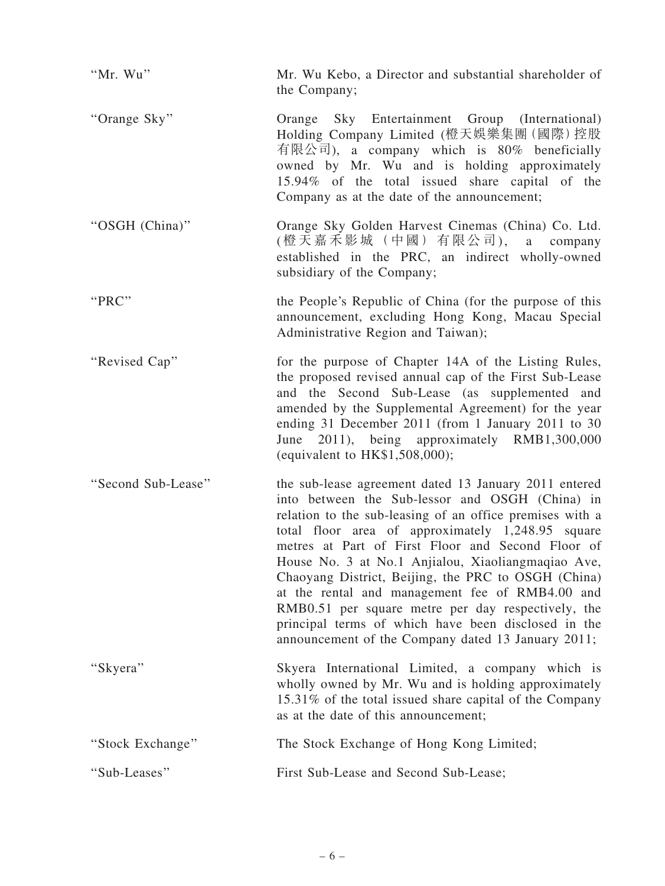| "Mr. Wu"           | Mr. Wu Kebo, a Director and substantial shareholder of<br>the Company;                                                                                                                                                                                                                                                                                                                                                                                                                                                                                                                                            |
|--------------------|-------------------------------------------------------------------------------------------------------------------------------------------------------------------------------------------------------------------------------------------------------------------------------------------------------------------------------------------------------------------------------------------------------------------------------------------------------------------------------------------------------------------------------------------------------------------------------------------------------------------|
| "Orange Sky"       | Sky Entertainment Group (International)<br>Orange<br>Holding Company Limited (橙天娛樂集團 (國際) 控股<br>有限公司), a company which is 80% beneficially<br>owned by Mr. Wu and is holding approximately<br>15.94% of the total issued share capital of the<br>Company as at the date of the announcement;                                                                                                                                                                                                                                                                                                                      |
| "OSGH (China)"     | Orange Sky Golden Harvest Cinemas (China) Co. Ltd.<br>(橙天嘉禾影城(中國)有限公司), a company<br>established in the PRC, an indirect wholly-owned<br>subsidiary of the Company;                                                                                                                                                                                                                                                                                                                                                                                                                                               |
| "PRC"              | the People's Republic of China (for the purpose of this<br>announcement, excluding Hong Kong, Macau Special<br>Administrative Region and Taiwan);                                                                                                                                                                                                                                                                                                                                                                                                                                                                 |
| "Revised Cap"      | for the purpose of Chapter 14A of the Listing Rules,<br>the proposed revised annual cap of the First Sub-Lease<br>and the Second Sub-Lease (as supplemented and<br>amended by the Supplemental Agreement) for the year<br>ending 31 December 2011 (from 1 January 2011 to 30<br>June 2011), being approximately RMB1,300,000<br>(equivalent to HK\$1,508,000);                                                                                                                                                                                                                                                    |
| "Second Sub-Lease" | the sub-lease agreement dated 13 January 2011 entered<br>into between the Sub-lessor and OSGH (China) in<br>relation to the sub-leasing of an office premises with a<br>total floor area of approximately 1,248.95 square<br>metres at Part of First Floor and Second Floor of<br>House No. 3 at No.1 Anjialou, Xiaoliangmaqiao Ave,<br>Chaoyang District, Beijing, the PRC to OSGH (China)<br>at the rental and management fee of RMB4.00 and<br>RMB0.51 per square metre per day respectively, the<br>principal terms of which have been disclosed in the<br>announcement of the Company dated 13 January 2011; |
| "Skyera"           | Skyera International Limited, a company which is<br>wholly owned by Mr. Wu and is holding approximately<br>15.31% of the total issued share capital of the Company<br>as at the date of this announcement;                                                                                                                                                                                                                                                                                                                                                                                                        |
| "Stock Exchange"   | The Stock Exchange of Hong Kong Limited;                                                                                                                                                                                                                                                                                                                                                                                                                                                                                                                                                                          |
| "Sub-Leases"       | First Sub-Lease and Second Sub-Lease;                                                                                                                                                                                                                                                                                                                                                                                                                                                                                                                                                                             |